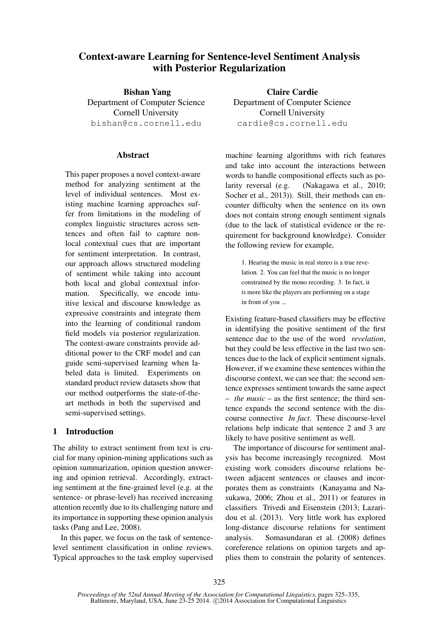# Context-aware Learning for Sentence-level Sentiment Analysis with Posterior Regularization

Bishan Yang Department of Computer Science Cornell University bishan@cs.cornell.edu

### **Abstract**

This paper proposes a novel context-aware method for analyzing sentiment at the level of individual sentences. Most existing machine learning approaches suffer from limitations in the modeling of complex linguistic structures across sentences and often fail to capture nonlocal contextual cues that are important for sentiment interpretation. In contrast, our approach allows structured modeling of sentiment while taking into account both local and global contextual information. Specifically, we encode intuitive lexical and discourse knowledge as expressive constraints and integrate them into the learning of conditional random field models via posterior regularization. The context-aware constraints provide additional power to the CRF model and can guide semi-supervised learning when labeled data is limited. Experiments on standard product review datasets show that our method outperforms the state-of-theart methods in both the supervised and semi-supervised settings.

# 1 Introduction

The ability to extract sentiment from text is crucial for many opinion-mining applications such as opinion summarization, opinion question answering and opinion retrieval. Accordingly, extracting sentiment at the fine-grained level (e.g. at the sentence- or phrase-level) has received increasing attention recently due to its challenging nature and its importance in supporting these opinion analysis tasks (Pang and Lee, 2008).

In this paper, we focus on the task of sentencelevel sentiment classification in online reviews. Typical approaches to the task employ supervised

Claire Cardie Department of Computer Science Cornell University cardie@cs.cornell.edu

machine learning algorithms with rich features and take into account the interactions between words to handle compositional effects such as polarity reversal (e.g. (Nakagawa et al., 2010; Socher et al., 2013)). Still, their methods can encounter difficulty when the sentence on its own does not contain strong enough sentiment signals (due to the lack of statistical evidence or the requirement for background knowledge). Consider the following review for example,

1. Hearing the music in real stereo is a true revelation. 2. You can feel that the music is no longer constrained by the mono recording. 3. In fact, it is more like the players are performing on a stage in front of you ...

Existing feature-based classifiers may be effective in identifying the positive sentiment of the first sentence due to the use of the word *revelation*, but they could be less effective in the last two sentences due to the lack of explicit sentiment signals. However, if we examine these sentences within the discourse context, we can see that: the second sentence expresses sentiment towards the same aspect – *the music* – as the first sentence; the third sentence expands the second sentence with the discourse connective *In fact*. These discourse-level relations help indicate that sentence 2 and 3 are likely to have positive sentiment as well.

The importance of discourse for sentiment analysis has become increasingly recognized. Most existing work considers discourse relations between adjacent sentences or clauses and incorporates them as constraints (Kanayama and Nasukawa, 2006; Zhou et al., 2011) or features in classifiers Trivedi and Eisenstein (2013; Lazaridou et al. (2013). Very little work has explored long-distance discourse relations for sentiment analysis. Somasundaran et al. (2008) defines coreference relations on opinion targets and applies them to constrain the polarity of sentences.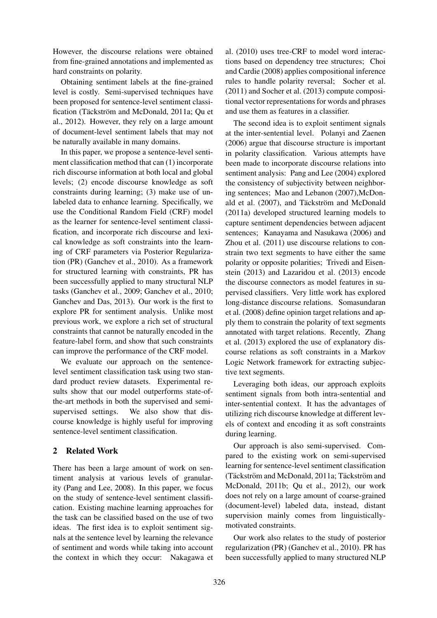However, the discourse relations were obtained from fine-grained annotations and implemented as hard constraints on polarity.

Obtaining sentiment labels at the fine-grained level is costly. Semi-supervised techniques have been proposed for sentence-level sentiment classification (Täckström and McDonald, 2011a; Qu et al., 2012). However, they rely on a large amount of document-level sentiment labels that may not be naturally available in many domains.

In this paper, we propose a sentence-level sentiment classification method that can (1) incorporate rich discourse information at both local and global levels; (2) encode discourse knowledge as soft constraints during learning; (3) make use of unlabeled data to enhance learning. Specifically, we use the Conditional Random Field (CRF) model as the learner for sentence-level sentiment classification, and incorporate rich discourse and lexical knowledge as soft constraints into the learning of CRF parameters via Posterior Regularization (PR) (Ganchev et al., 2010). As a framework for structured learning with constraints, PR has been successfully applied to many structural NLP tasks (Ganchev et al., 2009; Ganchev et al., 2010; Ganchev and Das, 2013). Our work is the first to explore PR for sentiment analysis. Unlike most previous work, we explore a rich set of structural constraints that cannot be naturally encoded in the feature-label form, and show that such constraints can improve the performance of the CRF model.

We evaluate our approach on the sentencelevel sentiment classification task using two standard product review datasets. Experimental results show that our model outperforms state-ofthe-art methods in both the supervised and semisupervised settings. We also show that discourse knowledge is highly useful for improving sentence-level sentiment classification.

# 2 Related Work

There has been a large amount of work on sentiment analysis at various levels of granularity (Pang and Lee, 2008). In this paper, we focus on the study of sentence-level sentiment classification. Existing machine learning approaches for the task can be classified based on the use of two ideas. The first idea is to exploit sentiment signals at the sentence level by learning the relevance of sentiment and words while taking into account the context in which they occur: Nakagawa et

al. (2010) uses tree-CRF to model word interactions based on dependency tree structures; Choi and Cardie (2008) applies compositional inference rules to handle polarity reversal; Socher et al. (2011) and Socher et al. (2013) compute compositional vector representations for words and phrases and use them as features in a classifier.

The second idea is to exploit sentiment signals at the inter-sentential level. Polanyi and Zaenen (2006) argue that discourse structure is important in polarity classification. Various attempts have been made to incorporate discourse relations into sentiment analysis: Pang and Lee (2004) explored the consistency of subjectivity between neighboring sentences; Mao and Lebanon (2007),McDonald et al. (2007), and Täckström and McDonald (2011a) developed structured learning models to capture sentiment dependencies between adjacent sentences; Kanayama and Nasukawa (2006) and Zhou et al. (2011) use discourse relations to constrain two text segments to have either the same polarity or opposite polarities; Trivedi and Eisenstein (2013) and Lazaridou et al. (2013) encode the discourse connectors as model features in supervised classifiers. Very little work has explored long-distance discourse relations. Somasundaran et al. (2008) define opinion target relations and apply them to constrain the polarity of text segments annotated with target relations. Recently, Zhang et al. (2013) explored the use of explanatory discourse relations as soft constraints in a Markov Logic Network framework for extracting subjective text segments.

Leveraging both ideas, our approach exploits sentiment signals from both intra-sentential and inter-sentential context. It has the advantages of utilizing rich discourse knowledge at different levels of context and encoding it as soft constraints during learning.

Our approach is also semi-supervised. Compared to the existing work on semi-supervised learning for sentence-level sentiment classification (Täckström and McDonald, 2011a; Täckström and McDonald, 2011b; Qu et al., 2012), our work does not rely on a large amount of coarse-grained (document-level) labeled data, instead, distant supervision mainly comes from linguisticallymotivated constraints.

Our work also relates to the study of posterior regularization (PR) (Ganchev et al., 2010). PR has been successfully applied to many structured NLP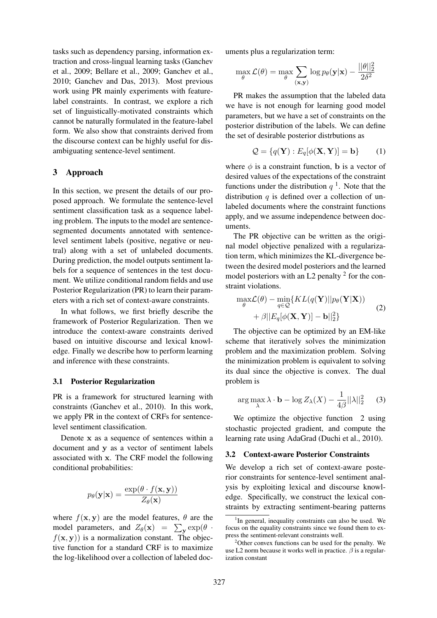tasks such as dependency parsing, information extraction and cross-lingual learning tasks (Ganchev et al., 2009; Bellare et al., 2009; Ganchev et al., 2010; Ganchev and Das, 2013). Most previous work using PR mainly experiments with featurelabel constraints. In contrast, we explore a rich set of linguistically-motivated constraints which cannot be naturally formulated in the feature-label form. We also show that constraints derived from the discourse context can be highly useful for disambiguating sentence-level sentiment.

### 3 Approach

In this section, we present the details of our proposed approach. We formulate the sentence-level sentiment classification task as a sequence labeling problem. The inputs to the model are sentencesegmented documents annotated with sentencelevel sentiment labels (positive, negative or neutral) along with a set of unlabeled documents. During prediction, the model outputs sentiment labels for a sequence of sentences in the test document. We utilize conditional random fields and use Posterior Regularization (PR) to learn their parameters with a rich set of context-aware constraints.

In what follows, we first briefly describe the framework of Posterior Regularization. Then we introduce the context-aware constraints derived based on intuitive discourse and lexical knowledge. Finally we describe how to perform learning and inference with these constraints.

#### 3.1 Posterior Regularization

PR is a framework for structured learning with constraints (Ganchev et al., 2010). In this work, we apply PR in the context of CRFs for sentencelevel sentiment classification.

Denote x as a sequence of sentences within a document and y as a vector of sentiment labels associated with x. The CRF model the following conditional probabilities:

$$
p_{\theta}(\mathbf{y}|\mathbf{x}) = \frac{\exp(\theta \cdot f(\mathbf{x}, \mathbf{y}))}{Z_{\theta}(\mathbf{x})}
$$

where  $f(\mathbf{x}, \mathbf{y})$  are the model features,  $\theta$  are the model parameters, and  $Z_{\theta}(\mathbf{x}) = \sum_{\mathbf{y}} \exp(\theta \cdot \theta)$  $f(\mathbf{x}, \mathbf{y})$  is a normalization constant. The objective function for a standard CRF is to maximize the log-likelihood over a collection of labeled documents plus a regularization term:

$$
\max_{\theta} \mathcal{L}(\theta) = \max_{\theta} \sum_{(\mathbf{x}, \mathbf{y})} \log p_{\theta}(\mathbf{y}|\mathbf{x}) - \frac{||\theta||_2^2}{2\delta^2}
$$

PR makes the assumption that the labeled data we have is not enough for learning good model parameters, but we have a set of constraints on the posterior distribution of the labels. We can define the set of desirable posterior distrbutions as

$$
Q = \{q(\mathbf{Y}) : E_q[\phi(\mathbf{X}, \mathbf{Y})] = \mathbf{b}\}
$$
 (1)

where  $\phi$  is a constraint function, b is a vector of desired values of the expectations of the constraint functions under the distribution  $q<sup>1</sup>$ . Note that the distribution  $q$  is defined over a collection of unlabeled documents where the constraint functions apply, and we assume independence between documents.

The PR objective can be written as the original model objective penalized with a regularization term, which minimizes the KL-divergence between the desired model posteriors and the learned model posteriors with an L2 penalty  $2$  for the constraint violations.

$$
\max_{\theta} \mathcal{L}(\theta) - \min_{q \in \mathcal{Q}} \{ KL(q(\mathbf{Y}) || p_{\theta}(\mathbf{Y} | \mathbf{X})) + \beta || E_q[\phi(\mathbf{X}, \mathbf{Y})] - \mathbf{b} ||_2^2 \}
$$
\n(2)

The objective can be optimized by an EM-like scheme that iteratively solves the minimization problem and the maximization problem. Solving the minimization problem is equivalent to solving its dual since the objective is convex. The dual problem is

$$
\arg\max_{\lambda} \lambda \cdot \mathbf{b} - \log Z_{\lambda}(X) - \frac{1}{4\beta} ||\lambda||_2^2 \qquad (3)
$$

We optimize the objective function 2 using stochastic projected gradient, and compute the learning rate using AdaGrad (Duchi et al., 2010).

#### 3.2 Context-aware Posterior Constraints

We develop a rich set of context-aware posterior constraints for sentence-level sentiment analysis by exploiting lexical and discourse knowledge. Specifically, we construct the lexical constraints by extracting sentiment-bearing patterns

<sup>&</sup>lt;sup>1</sup>In general, inequality constraints can also be used. We focus on the equality constraints since we found them to express the sentiment-relevant constraints well.

 $2^2$ Other convex functions can be used for the penalty. We use L2 norm because it works well in practice.  $\beta$  is a regularization constant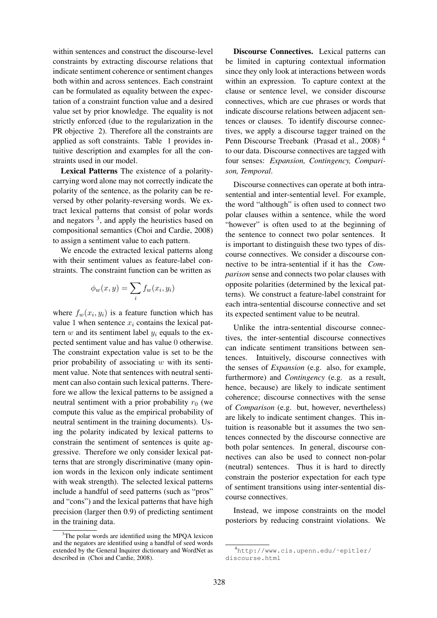within sentences and construct the discourse-level constraints by extracting discourse relations that indicate sentiment coherence or sentiment changes both within and across sentences. Each constraint can be formulated as equality between the expectation of a constraint function value and a desired value set by prior knowledge. The equality is not strictly enforced (due to the regularization in the PR objective 2). Therefore all the constraints are applied as soft constraints. Table 1 provides intuitive description and examples for all the constraints used in our model.

Lexical Patterns The existence of a polaritycarrying word alone may not correctly indicate the polarity of the sentence, as the polarity can be reversed by other polarity-reversing words. We extract lexical patterns that consist of polar words and negators  $3$ , and apply the heuristics based on compositional semantics (Choi and Cardie, 2008) to assign a sentiment value to each pattern.

We encode the extracted lexical patterns along with their sentiment values as feature-label constraints. The constraint function can be written as

$$
\phi_w(x, y) = \sum_i f_w(x_i, y_i)
$$

where  $f_w(x_i, y_i)$  is a feature function which has value 1 when sentence  $x_i$  contains the lexical pattern  $w$  and its sentiment label  $y_i$  equals to the expected sentiment value and has value 0 otherwise. The constraint expectation value is set to be the prior probability of associating  $w$  with its sentiment value. Note that sentences with neutral sentiment can also contain such lexical patterns. Therefore we allow the lexical patterns to be assigned a neutral sentiment with a prior probability  $r_0$  (we compute this value as the empirical probability of neutral sentiment in the training documents). Using the polarity indicated by lexical patterns to constrain the sentiment of sentences is quite aggressive. Therefore we only consider lexical patterns that are strongly discriminative (many opinion words in the lexicon only indicate sentiment with weak strength). The selected lexical patterns include a handful of seed patterns (such as "pros" and "cons") and the lexical patterns that have high precision (larger then 0.9) of predicting sentiment in the training data.

Discourse Connectives. Lexical patterns can be limited in capturing contextual information since they only look at interactions between words within an expression. To capture context at the clause or sentence level, we consider discourse connectives, which are cue phrases or words that indicate discourse relations between adjacent sentences or clauses. To identify discourse connectives, we apply a discourse tagger trained on the Penn Discourse Treebank (Prasad et al., 2008) <sup>4</sup> to our data. Discourse connectives are tagged with four senses: *Expansion, Contingency, Comparison, Temporal*.

Discourse connectives can operate at both intrasentential and inter-sentential level. For example, the word "although" is often used to connect two polar clauses within a sentence, while the word "however" is often used to at the beginning of the sentence to connect two polar sentences. It is important to distinguish these two types of discourse connectives. We consider a discourse connective to be intra-sentential if it has the *Comparison* sense and connects two polar clauses with opposite polarities (determined by the lexical patterns). We construct a feature-label constraint for each intra-sentential discourse connective and set its expected sentiment value to be neutral.

Unlike the intra-sentential discourse connectives, the inter-sentential discourse connectives can indicate sentiment transitions between sentences. Intuitively, discourse connectives with the senses of *Expansion* (e.g. also, for example, furthermore) and *Contingency* (e.g. as a result, hence, because) are likely to indicate sentiment coherence; discourse connectives with the sense of *Comparison* (e.g. but, however, nevertheless) are likely to indicate sentiment changes. This intuition is reasonable but it assumes the two sentences connected by the discourse connective are both polar sentences. In general, discourse connectives can also be used to connect non-polar (neutral) sentences. Thus it is hard to directly constrain the posterior expectation for each type of sentiment transitions using inter-sentential discourse connectives.

Instead, we impose constraints on the model posteriors by reducing constraint violations. We

<sup>&</sup>lt;sup>3</sup>The polar words are identified using the MPOA lexicon and the negators are identified using a handful of seed words extended by the General Inquirer dictionary and WordNet as described in (Choi and Cardie, 2008).

<sup>4</sup>http://www.cis.upenn.edu/˜epitler/ discourse.html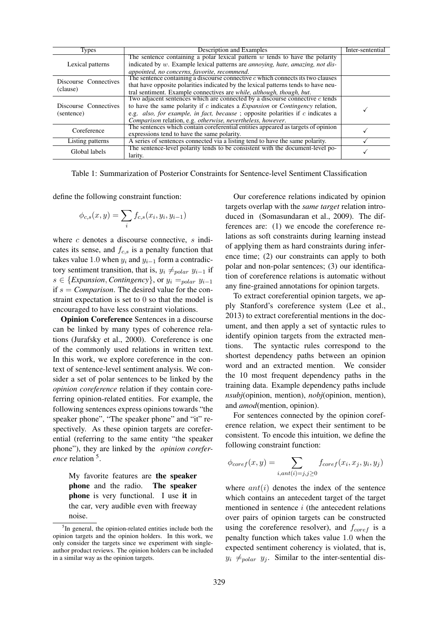| <b>Types</b>          | Description and Examples                                                                             | Inter-sentential |
|-----------------------|------------------------------------------------------------------------------------------------------|------------------|
|                       | The sentence containing a polar lexical pattern $w$ tends to have the polarity                       |                  |
| Lexical patterns      | indicated by w. Example lexical patterns are annoying, hate, amazing, not dis-                       |                  |
|                       | appointed, no concerns, favorite, recommend.                                                         |                  |
| Discourse Connectives | The sentence containing a discourse connective $c$ which connects its two clauses                    |                  |
| (clause)              | that have opposite polarities indicated by the lexical patterns tends to have neu-                   |                  |
|                       | tral sentiment. Example connectives are <i>while</i> , <i>although</i> , <i>though</i> , <i>but.</i> |                  |
|                       | Two adjacent sentences which are connected by a discourse connective c tends                         |                  |
| Discourse Connectives | to have the same polarity if $c$ indicates a <i>Expansion</i> or <i>Contingency</i> relation,        |                  |
| (sentence)            | e.g. also, for example, in fact, because ; opposite polarities if $c$ indicates a                    |                  |
|                       | Comparison relation, e.g. otherwise, nevertheless, however.                                          |                  |
| Coreference           | The sentences which contain coreferential entities appeared as targets of opinion                    |                  |
|                       | expressions tend to have the same polarity.                                                          |                  |
| Listing patterns      | A series of sentences connected via a listing tend to have the same polarity.                        |                  |
| Global labels         | The sentence-level polarity tends to be consistent with the document-level po-                       |                  |
|                       | larity.                                                                                              |                  |

Table 1: Summarization of Posterior Constraints for Sentence-level Sentiment Classification

define the following constraint function:

$$
\phi_{c,s}(x,y) = \sum_{i} f_{c,s}(x_i, y_i, y_{i-1})
$$

where c denotes a discourse connective, s indicates its sense, and  $f_{c,s}$  is a penalty function that takes value 1.0 when  $y_i$  and  $y_{i-1}$  form a contradictory sentiment transition, that is,  $y_i \neq_{polar} y_{i-1}$  if  $s \in \{Expansion, Contingency\}$ , or  $y_i =_{polar} y_{i-1}$ if  $s = Comparison$ . The desired value for the constraint expectation is set to 0 so that the model is encouraged to have less constraint violations.

Opinion Coreference Sentences in a discourse can be linked by many types of coherence relations (Jurafsky et al., 2000). Coreference is one of the commonly used relations in written text. In this work, we explore coreference in the context of sentence-level sentiment analysis. We consider a set of polar sentences to be linked by the *opinion coreference* relation if they contain coreferring opinion-related entities. For example, the following sentences express opinions towards "the speaker phone", "The speaker phone" and "it" respectively. As these opinion targets are coreferential (referring to the same entity "the speaker phone"), they are linked by the *opinion coreference* relation <sup>5</sup> .

My favorite features are the speaker phone and the radio. The speaker phone is very functional. I use it in the car, very audible even with freeway noise.

Our coreference relations indicated by opinion targets overlap with the *same target* relation introduced in (Somasundaran et al., 2009). The differences are: (1) we encode the coreference relations as soft constraints during learning instead of applying them as hard constraints during inference time; (2) our constraints can apply to both polar and non-polar sentences; (3) our identification of coreference relations is automatic without any fine-grained annotations for opinion targets.

To extract coreferential opinion targets, we apply Stanford's coreference system (Lee et al., 2013) to extract coreferential mentions in the document, and then apply a set of syntactic rules to identify opinion targets from the extracted mentions. The syntactic rules correspond to the shortest dependency paths between an opinion word and an extracted mention. We consider the 10 most frequent dependency paths in the training data. Example dependency paths include *nsubj*(opinion, mention), *nobj*(opinion, mention), and *amod*(mention, opinion).

For sentences connected by the opinion coreference relation, we expect their sentiment to be consistent. To encode this intuition, we define the following constraint function:

$$
\phi_{coref}(x,y) = \sum_{i,ant(i)=j, j \ge 0} f_{coref}(x_i, x_j, y_i, y_j)
$$

where  $ant(i)$  denotes the index of the sentence which contains an antecedent target of the target mentioned in sentence  $i$  (the antecedent relations over pairs of opinion targets can be constructed using the coreference resolver), and  $f_{coref}$  is a penalty function which takes value 1.0 when the expected sentiment coherency is violated, that is,  $y_i \neq_{polar} y_j$ . Similar to the inter-sentential dis-

<sup>&</sup>lt;sup>5</sup>In general, the opinion-related entities include both the opinion targets and the opinion holders. In this work, we only consider the targets since we experiment with singleauthor product reviews. The opinion holders can be included in a similar way as the opinion targets.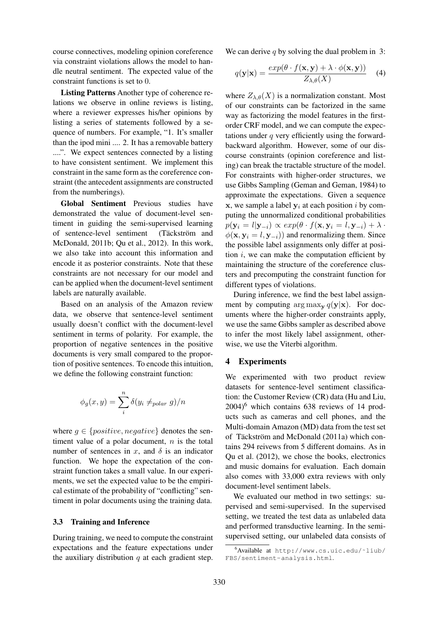course connectives, modeling opinion coreference via constraint violations allows the model to handle neutral sentiment. The expected value of the constraint functions is set to 0.

Listing Patterns Another type of coherence relations we observe in online reviews is listing, where a reviewer expresses his/her opinions by listing a series of statements followed by a sequence of numbers. For example, "1. It's smaller than the ipod mini .... 2. It has a removable battery ....". We expect sentences connected by a listing to have consistent sentiment. We implement this constraint in the same form as the coreference constraint (the antecedent assignments are constructed from the numberings).

Global Sentiment Previous studies have demonstrated the value of document-level sentiment in guiding the semi-supervised learning of sentence-level sentiment (Täckström and McDonald, 2011b; Qu et al., 2012). In this work, we also take into account this information and encode it as posterior constraints. Note that these constraints are not necessary for our model and can be applied when the document-level sentiment labels are naturally available.

Based on an analysis of the Amazon review data, we observe that sentence-level sentiment usually doesn't conflict with the document-level sentiment in terms of polarity. For example, the proportion of negative sentences in the positive documents is very small compared to the proportion of positive sentences. To encode this intuition, we define the following constraint function:

$$
\phi_g(x, y) = \sum_{i}^{n} \delta(y_i \neq_{polar} g)/n
$$

where  $q \in \{positive, negative\}$  denotes the sentiment value of a polar document,  $n$  is the total number of sentences in x, and  $\delta$  is an indicator function. We hope the expectation of the constraint function takes a small value. In our experiments, we set the expected value to be the empirical estimate of the probability of "conflicting" sentiment in polar documents using the training data.

#### 3.3 Training and Inference

During training, we need to compute the constraint expectations and the feature expectations under the auxiliary distribution  $q$  at each gradient step.

We can derive q by solving the dual problem in 3:

$$
q(\mathbf{y}|\mathbf{x}) = \frac{exp(\theta \cdot f(\mathbf{x}, \mathbf{y}) + \lambda \cdot \phi(\mathbf{x}, \mathbf{y}))}{Z_{\lambda, \theta}(X)} \quad (4)
$$

where  $Z_{\lambda,\theta}(X)$  is a normalization constant. Most of our constraints can be factorized in the same way as factorizing the model features in the firstorder CRF model, and we can compute the expectations under  $q$  very efficiently using the forwardbackward algorithm. However, some of our discourse constraints (opinion coreference and listing) can break the tractable structure of the model. For constraints with higher-order structures, we use Gibbs Sampling (Geman and Geman, 1984) to approximate the expectations. Given a sequence  $x$ , we sample a label  $y_i$  at each position i by computing the unnormalized conditional probabilities  $p(\mathbf{y}_i = l | \mathbf{y}_{-i}) \propto exp(\theta \cdot f(\mathbf{x}, \mathbf{y}_i = l, \mathbf{y}_{-i}) + \lambda \cdot$  $\phi(\mathbf{x}, \mathbf{y}_i = l, \mathbf{y}_{-i})$  and renormalizing them. Since the possible label assignments only differ at position  $i$ , we can make the computation efficient by maintaining the structure of the coreference clusters and precomputing the constraint function for different types of violations.

During inference, we find the best label assignment by computing  $\arg \max_{\mathbf{v}} q(\mathbf{y}|\mathbf{x})$ . For documents where the higher-order constraints apply, we use the same Gibbs sampler as described above to infer the most likely label assignment, otherwise, we use the Viterbi algorithm.

#### 4 Experiments

We experimented with two product review datasets for sentence-level sentiment classification: the Customer Review (CR) data (Hu and Liu,  $2004$ <sup>6</sup> which contains 638 reviews of 14 products such as cameras and cell phones, and the Multi-domain Amazon (MD) data from the test set of Täckström and McDonald (2011a) which contains 294 reivews from 5 different domains. As in Qu et al. (2012), we chose the books, electronics and music domains for evaluation. Each domain also comes with 33,000 extra reviews with only document-level sentiment labels.

We evaluated our method in two settings: supervised and semi-supervised. In the supervised setting, we treated the test data as unlabeled data and performed transductive learning. In the semisupervised setting, our unlabeled data consists of

<sup>6</sup>Available at http://www.cs.uic.edu/˜liub/ FBS/sentiment-analysis.html.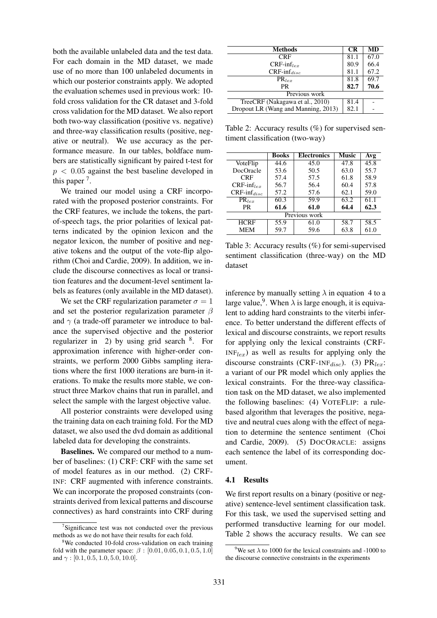both the available unlabeled data and the test data. For each domain in the MD dataset, we made use of no more than 100 unlabeled documents in which our posterior constraints apply. We adopted the evaluation schemes used in previous work: 10 fold cross validation for the CR dataset and 3-fold cross validation for the MD dataset. We also report both two-way classification (positive vs. negative) and three-way classification results (positive, negative or neutral). We use accuracy as the performance measure. In our tables, boldface numbers are statistically significant by paired t-test for  $p < 0.05$  against the best baseline developed in this paper<sup>7</sup>.

We trained our model using a CRF incorporated with the proposed posterior constraints. For the CRF features, we include the tokens, the partof-speech tags, the prior polarities of lexical patterns indicated by the opinion lexicon and the negator lexicon, the number of positive and negative tokens and the output of the vote-flip algorithm (Choi and Cardie, 2009). In addition, we include the discourse connectives as local or transition features and the document-level sentiment labels as features (only available in the MD dataset).

We set the CRF regularization parameter  $\sigma = 1$ and set the posterior regularization parameter  $\beta$ and  $\gamma$  (a trade-off parameter we introduce to balance the supervised objective and the posterior regularizer in 2) by using grid search <sup>8</sup>. For approximation inference with higher-order constraints, we perform 2000 Gibbs sampling iterations where the first 1000 iterations are burn-in iterations. To make the results more stable, we construct three Markov chains that run in parallel, and select the sample with the largest objective value.

All posterior constraints were developed using the training data on each training fold. For the MD dataset, we also used the dvd domain as additional labeled data for developing the constraints.

Baselines. We compared our method to a number of baselines: (1) CRF: CRF with the same set of model features as in our method. (2) CRF-INF: CRF augmented with inference constraints. We can incorporate the proposed constraints (constraints derived from lexical patterns and discourse connectives) as hard constraints into CRF during

| <b>Methods</b>                      | <b>CR</b> | <b>MD</b> |
|-------------------------------------|-----------|-----------|
| <b>CRF</b>                          | 81.1      | 67.0      |
| $CRF\text{-}\inf_{ler}$             | 80.9      | 66.4      |
| $CRF\text{-}\inf_{disc}$            | 81.1      | 67.2      |
| $PR_{lex}$                          | 81.8      | 69.7      |
| <b>PR</b>                           | 82.7      | 70.6      |
| Previous work                       |           |           |
| TreeCRF (Nakagawa et al., 2010)     | 81.4      |           |
| Dropout LR (Wang and Manning, 2013) | 82.1      |           |

Table 2: Accuracy results (%) for supervised sentiment classification (two-way)

|                          | Books | <b>Electronics</b> | Music | Avg  |  |  |
|--------------------------|-------|--------------------|-------|------|--|--|
| VoteFlip                 | 44.6  | 45.0               | 47.8  | 45.8 |  |  |
| DocOracle                | 53.6  | 50.5               | 63.0  | 55.7 |  |  |
| <b>CRF</b>               | 57.4  | 57.5               | 61.8  | 58.9 |  |  |
| $CRF\text{-}\inf_{ler}$  | 56.7  | 56.4               | 60.4  | 57.8 |  |  |
| $CRF\text{-}\inf_{disc}$ | 57.2  | 57.6               | 62.1  | 59.0 |  |  |
| $PR_{lex}$               | 60.3  | 59.9               | 63.2  | 61.1 |  |  |
| PR.                      | 61.6  | 61.0               | 64.4  | 62.3 |  |  |
| Previous work            |       |                    |       |      |  |  |
| <b>HCRF</b>              | 55.9  | 61.0               | 58.7  | 58.5 |  |  |
| <b>MEM</b>               | 59.7  | 59.6               | 63.8  | 61.0 |  |  |

Table 3: Accuracy results (%) for semi-supervised sentiment classification (three-way) on the MD dataset

inference by manually setting  $\lambda$  in equation 4 to a large value,<sup>9</sup>. When  $\lambda$  is large enough, it is equivalent to adding hard constraints to the viterbi inference. To better understand the different effects of lexical and discourse constraints, we report results for applying only the lexical constraints (CRF- $INF<sub>lex</sub>$ ) as well as results for applying only the discourse constraints (CRF-INF $_{disc}$ ). (3) PR<sub>lex</sub>: a variant of our PR model which only applies the lexical constraints. For the three-way classification task on the MD dataset, we also implemented the following baselines: (4) VOTEFLIP: a rulebased algorithm that leverages the positive, negative and neutral cues along with the effect of negation to determine the sentence sentiment (Choi and Cardie, 2009). (5) DOCORACLE: assigns each sentence the label of its corresponding document.

#### 4.1 Results

We first report results on a binary (positive or negative) sentence-level sentiment classification task. For this task, we used the supervised setting and performed transductive learning for our model. Table 2 shows the accuracy results. We can see

<sup>&</sup>lt;sup>7</sup>Significance test was not conducted over the previous methods as we do not have their results for each fold.

<sup>&</sup>lt;sup>8</sup>We conducted 10-fold cross-validation on each training fold with the parameter space:  $\beta$  :  $[0.01, 0.05, 0.1, 0.5, 1.0]$ and  $\gamma$  : [0.1, 0.5, 1.0, 5.0, 10.0].

<sup>&</sup>lt;sup>9</sup>We set  $\lambda$  to 1000 for the lexical constraints and -1000 to the discourse connective constraints in the experiments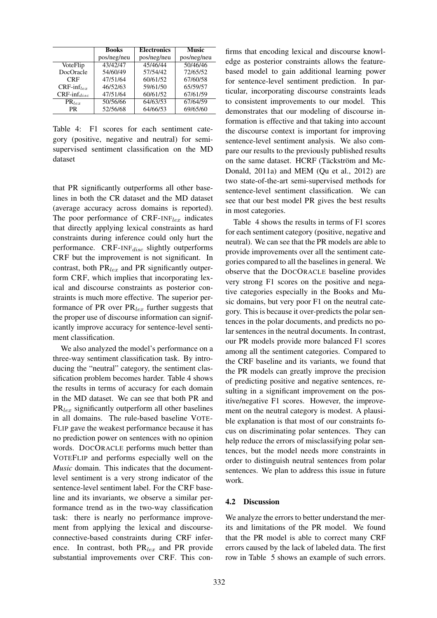|                          | <b>Books</b> | <b>Electronics</b> | Music       |
|--------------------------|--------------|--------------------|-------------|
|                          | pos/neg/neu  | pos/neg/neu        | pos/neg/neu |
| VoteFlip                 | 43/42/47     | 45/46/44           | 50/46/46    |
| DocOracle                | 54/60/49     | 57/54/42           | 72/65/52    |
| <b>CRF</b>               | 47/51/64     | 60/61/52           | 67/60/58    |
| $CRF\text{-}\inf_{ler}$  | 46/52/63     | 59/61/50           | 65/59/57    |
| $CRF\text{-}\inf_{disc}$ | 47/51/64     | 60/61/52           | 67/61/59    |
| $PR_{ler}$               | 50/56/66     | 64/63/53           | 67/64/59    |
| <b>PR</b>                | 52/56/68     | 64/66/53           | 69/65/60    |

Table 4: F1 scores for each sentiment category (positive, negative and neutral) for semisupervised sentiment classification on the MD dataset

that PR significantly outperforms all other baselines in both the CR dataset and the MD dataset (average accuracy across domains is reported). The poor performance of  $CRF-INF<sub>lex</sub>$  indicates that directly applying lexical constraints as hard constraints during inference could only hurt the performance.  $CRF\text{-}INF_{disc}$  slightly outperforms CRF but the improvement is not significant. In contrast, both  $PR_{lex}$  and PR significantly outperform CRF, which implies that incorporating lexical and discourse constraints as posterior constraints is much more effective. The superior performance of PR over  $PR_{lex}$  further suggests that the proper use of discourse information can significantly improve accuracy for sentence-level sentiment classification.

We also analyzed the model's performance on a three-way sentiment classification task. By introducing the "neutral" category, the sentiment classification problem becomes harder. Table 4 shows the results in terms of accuracy for each domain in the MD dataset. We can see that both PR and  $PR<sub>lex</sub>$  significantly outperform all other baselines in all domains. The rule-based baseline VOTE-FLIP gave the weakest performance because it has no prediction power on sentences with no opinion words. DOCORACLE performs much better than VOTEFLIP and performs especially well on the *Music* domain. This indicates that the documentlevel sentiment is a very strong indicator of the sentence-level sentiment label. For the CRF baseline and its invariants, we observe a similar performance trend as in the two-way classification task: there is nearly no performance improvement from applying the lexical and discourseconnective-based constraints during CRF inference. In contrast, both  $PR_{lex}$  and PR provide substantial improvements over CRF. This con-

firms that encoding lexical and discourse knowledge as posterior constraints allows the featurebased model to gain additional learning power for sentence-level sentiment prediction. In particular, incorporating discourse constraints leads to consistent improvements to our model. This demonstrates that our modeling of discourse information is effective and that taking into account the discourse context is important for improving sentence-level sentiment analysis. We also compare our results to the previously published results on the same dataset. HCRF (Täckström and Mc-Donald, 2011a) and MEM (Qu et al., 2012) are two state-of-the-art semi-supervised methods for sentence-level sentiment classification. We can see that our best model PR gives the best results in most categories.

Table 4 shows the results in terms of F1 scores for each sentiment category (positive, negative and neutral). We can see that the PR models are able to provide improvements over all the sentiment categories compared to all the baselines in general. We observe that the DOCORACLE baseline provides very strong F1 scores on the positive and negative categories especially in the Books and Music domains, but very poor F1 on the neutral category. This is because it over-predicts the polar sentences in the polar documents, and predicts no polar sentences in the neutral documents. In contrast, our PR models provide more balanced F1 scores among all the sentiment categories. Compared to the CRF baseline and its variants, we found that the PR models can greatly improve the precision of predicting positive and negative sentences, resulting in a significant improvement on the positive/negative F1 scores. However, the improvement on the neutral category is modest. A plausible explanation is that most of our constraints focus on discriminating polar sentences. They can help reduce the errors of misclassifying polar sentences, but the model needs more constraints in order to distinguish neutral sentences from polar sentences. We plan to address this issue in future work.

#### 4.2 Discussion

We analyze the errors to better understand the merits and limitations of the PR model. We found that the PR model is able to correct many CRF errors caused by the lack of labeled data. The first row in Table 5 shows an example of such errors.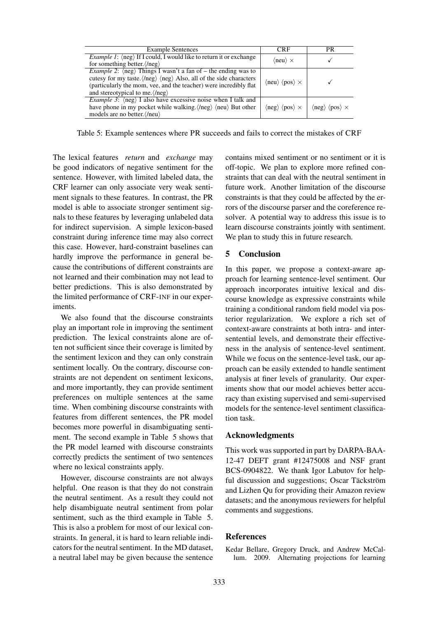| <b>Example Sentences</b>                                                                                   | <b>CRF</b>                                             | PR                                                     |
|------------------------------------------------------------------------------------------------------------|--------------------------------------------------------|--------------------------------------------------------|
| <i>Example 1</i> : $\langle neg \rangle$ If I could, I would like to return it or exchange                 | $\langle$ neu $\rangle \times$                         |                                                        |
| for something better. $\langle$ /neg $\rangle$                                                             |                                                        |                                                        |
| <i>Example 2:</i> $\langle neg \rangle$ Things I wasn't a fan of – the ending was to                       |                                                        |                                                        |
| cutesy for my taste. $\langle$ /neg $\rangle$ $\langle$ neg $\rangle$ Also, all of the side characters     | $\langle$ neu $\rangle$ $\langle$ pos $\rangle \times$ |                                                        |
| (particularly the mom, vee, and the teacher) were incredibly flat                                          |                                                        |                                                        |
| and stereotypical to me. $\langle$ /neg $\rangle$                                                          |                                                        |                                                        |
| <i>Example 3</i> : $\langle neg \rangle$ I also have excessive noise when I talk and                       |                                                        |                                                        |
| have phone in my pocket while walking. $\langle \text{neg} \rangle$ $\langle \text{neu} \rangle$ But other | $\langle$ neg $\rangle$ $\langle$ pos $\rangle \times$ | $\langle$ neg $\rangle$ $\langle$ pos $\rangle \times$ |
| models are no better. $\langle$ /neu $\rangle$                                                             |                                                        |                                                        |

Table 5: Example sentences where PR succeeds and fails to correct the mistakes of CRF

The lexical features *return* and *exchange* may be good indicators of negative sentiment for the sentence. However, with limited labeled data, the CRF learner can only associate very weak sentiment signals to these features. In contrast, the PR model is able to associate stronger sentiment signals to these features by leveraging unlabeled data for indirect supervision. A simple lexicon-based constraint during inference time may also correct this case. However, hard-constraint baselines can hardly improve the performance in general because the contributions of different constraints are not learned and their combination may not lead to better predictions. This is also demonstrated by the limited performance of CRF-INF in our experiments.

We also found that the discourse constraints play an important role in improving the sentiment prediction. The lexical constraints alone are often not sufficient since their coverage is limited by the sentiment lexicon and they can only constrain sentiment locally. On the contrary, discourse constraints are not dependent on sentiment lexicons, and more importantly, they can provide sentiment preferences on multiple sentences at the same time. When combining discourse constraints with features from different sentences, the PR model becomes more powerful in disambiguating sentiment. The second example in Table 5 shows that the PR model learned with discourse constraints correctly predicts the sentiment of two sentences where no lexical constraints apply.

However, discourse constraints are not always helpful. One reason is that they do not constrain the neutral sentiment. As a result they could not help disambiguate neutral sentiment from polar sentiment, such as the third example in Table 5. This is also a problem for most of our lexical constraints. In general, it is hard to learn reliable indicators for the neutral sentiment. In the MD dataset, a neutral label may be given because the sentence contains mixed sentiment or no sentiment or it is off-topic. We plan to explore more refined constraints that can deal with the neutral sentiment in future work. Another limitation of the discourse constraints is that they could be affected by the errors of the discourse parser and the coreference resolver. A potential way to address this issue is to learn discourse constraints jointly with sentiment. We plan to study this in future research.

# 5 Conclusion

In this paper, we propose a context-aware approach for learning sentence-level sentiment. Our approach incorporates intuitive lexical and discourse knowledge as expressive constraints while training a conditional random field model via posterior regularization. We explore a rich set of context-aware constraints at both intra- and intersentential levels, and demonstrate their effectiveness in the analysis of sentence-level sentiment. While we focus on the sentence-level task, our approach can be easily extended to handle sentiment analysis at finer levels of granularity. Our experiments show that our model achieves better accuracy than existing supervised and semi-supervised models for the sentence-level sentiment classification task.

#### Acknowledgments

This work was supported in part by DARPA-BAA-12-47 DEFT grant #12475008 and NSF grant BCS-0904822. We thank Igor Labutov for helpful discussion and suggestions; Oscar Täckström and Lizhen Qu for providing their Amazon review datasets; and the anonymous reviewers for helpful comments and suggestions.

# References

Kedar Bellare, Gregory Druck, and Andrew McCallum. 2009. Alternating projections for learning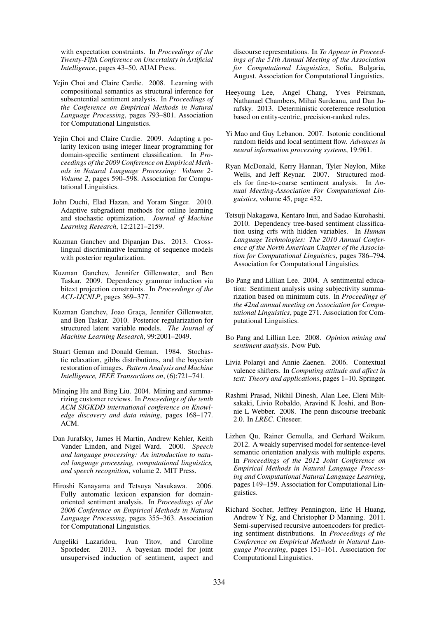with expectation constraints. In *Proceedings of the Twenty-Fifth Conference on Uncertainty in Artificial Intelligence*, pages 43–50. AUAI Press.

- Yejin Choi and Claire Cardie. 2008. Learning with compositional semantics as structural inference for subsentential sentiment analysis. In *Proceedings of the Conference on Empirical Methods in Natural Language Processing*, pages 793–801. Association for Computational Linguistics.
- Yejin Choi and Claire Cardie. 2009. Adapting a polarity lexicon using integer linear programming for domain-specific sentiment classification. In *Proceedings of the 2009 Conference on Empirical Methods in Natural Language Processing: Volume 2- Volume 2*, pages 590–598. Association for Computational Linguistics.
- John Duchi, Elad Hazan, and Yoram Singer. 2010. Adaptive subgradient methods for online learning and stochastic optimization. *Journal of Machine Learning Research*, 12:2121–2159.
- Kuzman Ganchev and Dipanjan Das. 2013. Crosslingual discriminative learning of sequence models with posterior regularization.
- Kuzman Ganchev, Jennifer Gillenwater, and Ben Taskar. 2009. Dependency grammar induction via bitext projection constraints. In *Proceedings of the ACL-IJCNLP*, pages 369–377.
- Kuzman Ganchev, Joao Graça, Jennifer Gillenwater, and Ben Taskar. 2010. Posterior regularization for structured latent variable models. *The Journal of Machine Learning Research*, 99:2001–2049.
- Stuart Geman and Donald Geman. 1984. Stochastic relaxation, gibbs distributions, and the bayesian restoration of images. *Pattern Analysis and Machine Intelligence, IEEE Transactions on*, (6):721–741.
- Minqing Hu and Bing Liu. 2004. Mining and summarizing customer reviews. In *Proceedings of the tenth ACM SIGKDD international conference on Knowledge discovery and data mining*, pages 168–177. ACM.
- Dan Jurafsky, James H Martin, Andrew Kehler, Keith Vander Linden, and Nigel Ward. 2000. *Speech and language processing: An introduction to natural language processing, computational linguistics, and speech recognition*, volume 2. MIT Press.
- Hiroshi Kanayama and Tetsuya Nasukawa. 2006. Fully automatic lexicon expansion for domainoriented sentiment analysis. In *Proceedings of the 2006 Conference on Empirical Methods in Natural Language Processing*, pages 355–363. Association for Computational Linguistics.
- Angeliki Lazaridou, Ivan Titov, and Caroline Sporleder. 2013. A bayesian model for joint unsupervised induction of sentiment, aspect and

discourse representations. In *To Appear in Proceedings of the 51th Annual Meeting of the Association for Computational Linguistics*, Sofia, Bulgaria, August. Association for Computational Linguistics.

- Heeyoung Lee, Angel Chang, Yves Peirsman, Nathanael Chambers, Mihai Surdeanu, and Dan Jurafsky. 2013. Deterministic coreference resolution based on entity-centric, precision-ranked rules.
- Yi Mao and Guy Lebanon. 2007. Isotonic conditional random fields and local sentiment flow. *Advances in neural information processing systems*, 19:961.
- Ryan McDonald, Kerry Hannan, Tyler Neylon, Mike Wells, and Jeff Reynar. 2007. Structured models for fine-to-coarse sentiment analysis. In *Annual Meeting-Association For Computational Linguistics*, volume 45, page 432.
- Tetsuji Nakagawa, Kentaro Inui, and Sadao Kurohashi. 2010. Dependency tree-based sentiment classification using crfs with hidden variables. In *Human Language Technologies: The 2010 Annual Conference of the North American Chapter of the Association for Computational Linguistics*, pages 786–794. Association for Computational Linguistics.
- Bo Pang and Lillian Lee. 2004. A sentimental education: Sentiment analysis using subjectivity summarization based on minimum cuts. In *Proceedings of the 42nd annual meeting on Association for Computational Linguistics*, page 271. Association for Computational Linguistics.
- Bo Pang and Lillian Lee. 2008. *Opinion mining and sentiment analysis*. Now Pub.
- Livia Polanyi and Annie Zaenen. 2006. Contextual valence shifters. In *Computing attitude and affect in text: Theory and applications*, pages 1–10. Springer.
- Rashmi Prasad, Nikhil Dinesh, Alan Lee, Eleni Miltsakaki, Livio Robaldo, Aravind K Joshi, and Bonnie L Webber. 2008. The penn discourse treebank 2.0. In *LREC*. Citeseer.
- Lizhen Qu, Rainer Gemulla, and Gerhard Weikum. 2012. A weakly supervised model for sentence-level semantic orientation analysis with multiple experts. In *Proceedings of the 2012 Joint Conference on Empirical Methods in Natural Language Processing and Computational Natural Language Learning*, pages 149–159. Association for Computational Linguistics.
- Richard Socher, Jeffrey Pennington, Eric H Huang, Andrew Y Ng, and Christopher D Manning. 2011. Semi-supervised recursive autoencoders for predicting sentiment distributions. In *Proceedings of the Conference on Empirical Methods in Natural Language Processing*, pages 151–161. Association for Computational Linguistics.